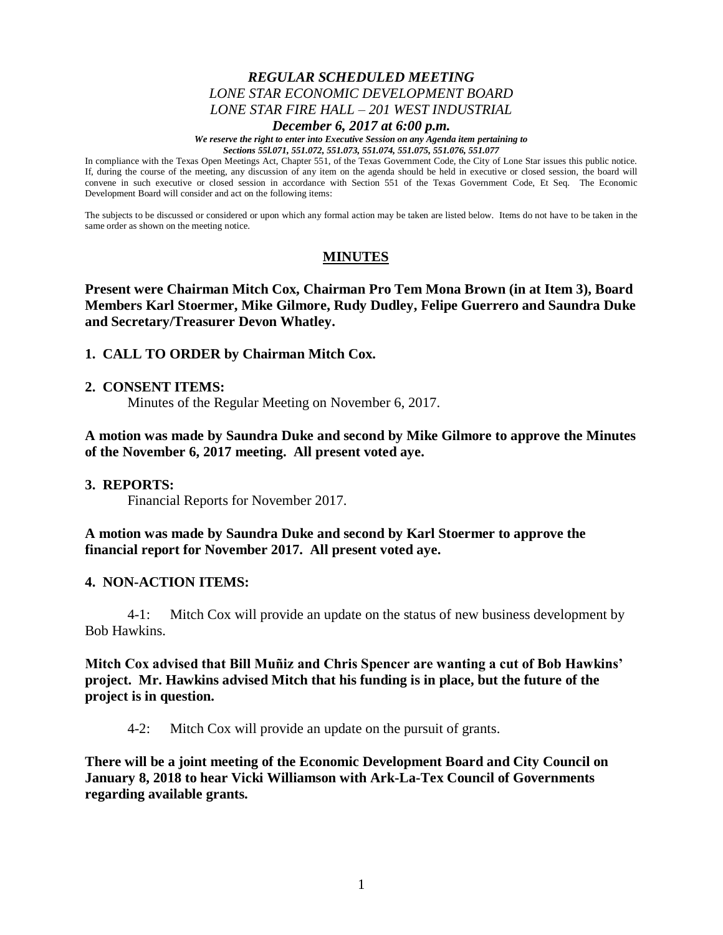# *REGULAR SCHEDULED MEETING LONE STAR ECONOMIC DEVELOPMENT BOARD LONE STAR FIRE HALL – 201 WEST INDUSTRIAL*

#### *December 6, 2017 at 6:00 p.m.*

*We reserve the right to enter into Executive Session on any Agenda item pertaining to Sections 55l.071, 551.072, 551.073, 551.074, 551.075, 551.076, 551.077*

In compliance with the Texas Open Meetings Act, Chapter 551, of the Texas Government Code, the City of Lone Star issues this public notice. If, during the course of the meeting, any discussion of any item on the agenda should be held in executive or closed session, the board will convene in such executive or closed session in accordance with Section 551 of the Texas Government Code, Et Seq. The Economic Development Board will consider and act on the following items:

The subjects to be discussed or considered or upon which any formal action may be taken are listed below. Items do not have to be taken in the same order as shown on the meeting notice.

# **MINUTES**

**Present were Chairman Mitch Cox, Chairman Pro Tem Mona Brown (in at Item 3), Board Members Karl Stoermer, Mike Gilmore, Rudy Dudley, Felipe Guerrero and Saundra Duke and Secretary/Treasurer Devon Whatley.**

#### **1. CALL TO ORDER by Chairman Mitch Cox.**

#### **2. CONSENT ITEMS:**

Minutes of the Regular Meeting on November 6, 2017.

**A motion was made by Saundra Duke and second by Mike Gilmore to approve the Minutes of the November 6, 2017 meeting. All present voted aye.**

#### **3. REPORTS:**

Financial Reports for November 2017.

**A motion was made by Saundra Duke and second by Karl Stoermer to approve the financial report for November 2017. All present voted aye.**

## **4. NON-ACTION ITEMS:**

4-1: Mitch Cox will provide an update on the status of new business development by Bob Hawkins.

**Mitch Cox advised that Bill Muñiz and Chris Spencer are wanting a cut of Bob Hawkins' project. Mr. Hawkins advised Mitch that his funding is in place, but the future of the project is in question.**

4-2: Mitch Cox will provide an update on the pursuit of grants.

**There will be a joint meeting of the Economic Development Board and City Council on January 8, 2018 to hear Vicki Williamson with Ark-La-Tex Council of Governments regarding available grants.**